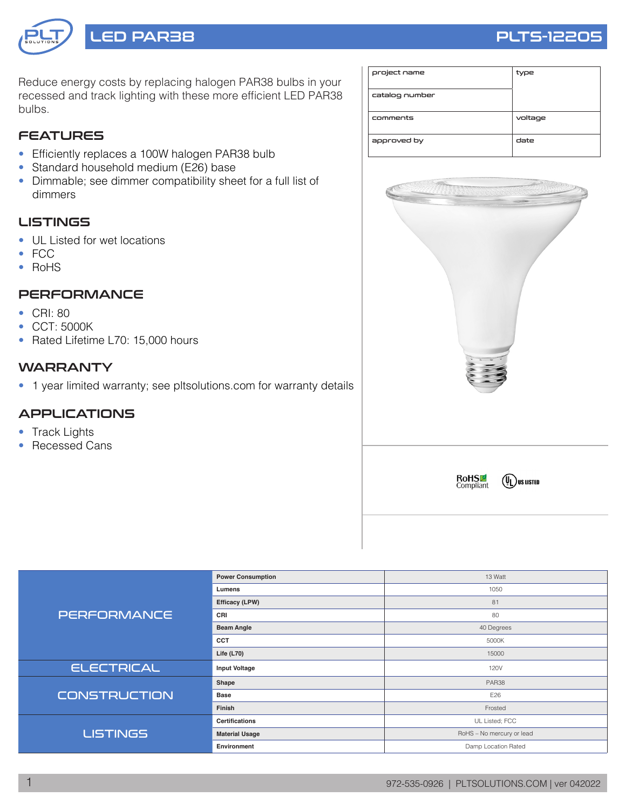# LED PAR38 PLTS-12205

Reduce energy costs by replacing halogen PAR38 bulbs in your recessed and track lighting with these more efficient LED PAR38 bulbs.

# **FEATURES**

- Efficiently replaces a 100W halogen PAR38 bulb
- Standard household medium (E26) base
- Dimmable; see dimmer compatibility sheet for a full list of dimmers

# LISTINGS

- UL Listed for wet locations
- FCC
- RoHS

# **PERFORMANCE**

- CRI: 80
- CCT: 5000K
- Rated Lifetime L70: 15,000 hours

#### **WARRANTY**

• 1 year limited warranty; see pltsolutions.com for warranty details

# APPLICATIONS

- Track Lights
- Recessed Cans







|                     | <b>Power Consumption</b> | 13 Watt                   |  |  |  |
|---------------------|--------------------------|---------------------------|--|--|--|
| <b>PERFORMANCE</b>  | Lumens                   | 1050                      |  |  |  |
|                     | Efficacy (LPW)           | 81                        |  |  |  |
|                     | CRI                      | 80                        |  |  |  |
|                     | <b>Beam Angle</b>        | 40 Degrees                |  |  |  |
|                     | <b>CCT</b>               | 5000K                     |  |  |  |
|                     | Life $(L70)$             | 15000                     |  |  |  |
| <b>ELECTRICAL</b>   | <b>Input Voltage</b>     | 120V                      |  |  |  |
|                     | Shape                    | PAR38                     |  |  |  |
| <b>CONSTRUCTION</b> | <b>Base</b>              | E26                       |  |  |  |
|                     | Finish                   | Frosted                   |  |  |  |
|                     | <b>Certifications</b>    | UL Listed; FCC            |  |  |  |
| <b>LISTINGS</b>     | <b>Material Usage</b>    | RoHS - No mercury or lead |  |  |  |
|                     | Environment              | Damp Location Rated       |  |  |  |